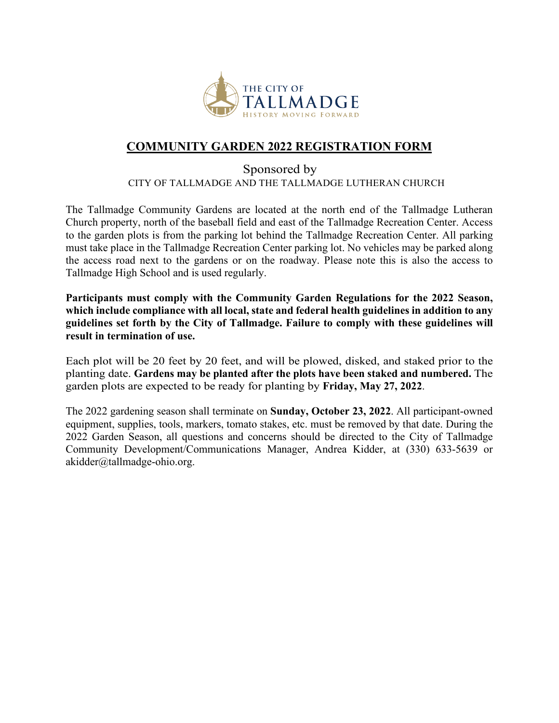

## **COMMUNITY GARDEN 2022 REGISTRATION FORM**

## Sponsored by CITY OF TALLMADGE AND THE TALLMADGE LUTHERAN CHURCH

The Tallmadge Community Gardens are located at the north end of the Tallmadge Lutheran Church property, north of the baseball field and east of the Tallmadge Recreation Center. Access to the garden plots is from the parking lot behind the Tallmadge Recreation Center. All parking must take place in the Tallmadge Recreation Center parking lot. No vehicles may be parked along the access road next to the gardens or on the roadway. Please note this is also the access to Tallmadge High School and is used regularly.

**Participants must comply with the Community Garden Regulations for the 2022 Season, which include compliance with all local, state and federal health guidelines in addition to any guidelines set forth by the City of Tallmadge. Failure to comply with these guidelines will result in termination of use.** 

Each plot will be 20 feet by 20 feet, and will be plowed, disked, and staked prior to the planting date. **Gardens may be planted after the plots have been staked and numbered.** The garden plots are expected to be ready for planting by **Friday, May 27, 2022**.

The 2022 gardening season shall terminate on **Sunday, October 23, 2022**. All participant-owned equipment, supplies, tools, markers, tomato stakes, etc. must be removed by that date. During the 2022 Garden Season, all questions and concerns should be directed to the City of Tallmadge Community Development/Communications Manager, Andrea Kidder, at (330) 633-5639 or akidder@tallmadge-ohio.org.